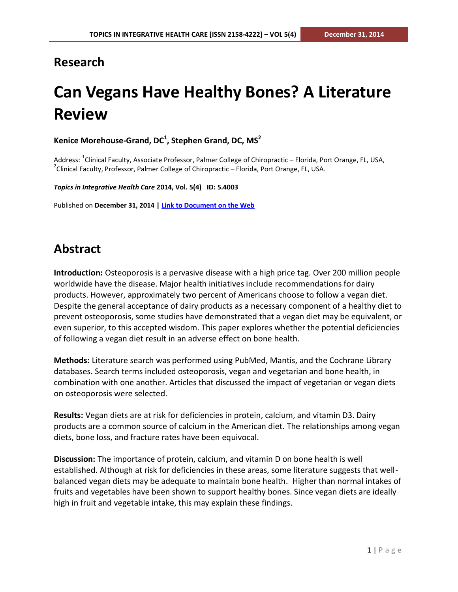## **Research**

# **Can Vegans Have Healthy Bones? A Literature Review**

**Kenice Morehouse-Grand, DC<sup>1</sup> , Stephen Grand, DC, MS 2**

Address: <sup>1</sup>Clinical Faculty, Associate Professor, Palmer College of Chiropractic – Florida, Port Orange, FL, USA,  $^{2}$ Clinical Faculty, Professor, Palmer College of Chiropractic – Florida, Port Orange, FL, USA.

*Topics in Integrative Health Care* **2014, Vol. 5(4) ID: 5.4003**

Published on **December 31, 2014 | [Link to Document on the Web](http://www.tihcij.com/Articles/Can-Vegans-Have-Healthy-Bones--A-Literature-Review.aspx?id=0000440)**

# **Abstract**

**Introduction:** Osteoporosis is a pervasive disease with a high price tag. Over 200 million people worldwide have the disease. Major health initiatives include recommendations for dairy products. However, approximately two percent of Americans choose to follow a vegan diet. Despite the general acceptance of dairy products as a necessary component of a healthy diet to prevent osteoporosis, some studies have demonstrated that a vegan diet may be equivalent, or even superior, to this accepted wisdom. This paper explores whether the potential deficiencies of following a vegan diet result in an adverse effect on bone health.

**Methods:** Literature search was performed using PubMed, Mantis, and the Cochrane Library databases. Search terms included osteoporosis, vegan and vegetarian and bone health, in combination with one another. Articles that discussed the impact of vegetarian or vegan diets on osteoporosis were selected.

**Results:** Vegan diets are at risk for deficiencies in protein, calcium, and vitamin D3. Dairy products are a common source of calcium in the American diet. The relationships among vegan diets, bone loss, and fracture rates have been equivocal.

**Discussion:** The importance of protein, calcium, and vitamin D on bone health is well established. Although at risk for deficiencies in these areas, some literature suggests that wellbalanced vegan diets may be adequate to maintain bone health. Higher than normal intakes of fruits and vegetables have been shown to support healthy bones. Since vegan diets are ideally high in fruit and vegetable intake, this may explain these findings.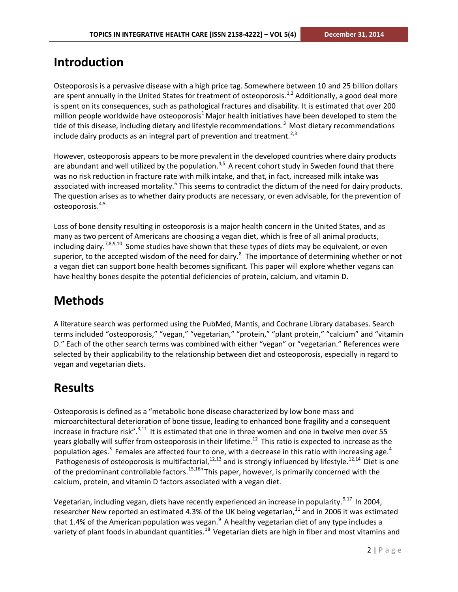### **Introduction**

Osteoporosis is a pervasive disease with a high price tag. Somewhere between 10 and 25 billion dollars are spent annually in the United States for treatment of osteoporosis.<sup>1,2</sup> Additionally, a good deal more is spent on its consequences, such as pathological fractures and disability. It is estimated that over 200 million people worldwide have osteoporosis<sup>1</sup> Major health initiatives have been developed to stem the tide of this disease, including dietary and lifestyle recommendations.<sup>3</sup> Most dietary recommendations include dairy products as an integral part of prevention and treatment.<sup>2,3</sup>

However, osteoporosis appears to be more prevalent in the developed countries where dairy products are abundant and well utilized by the population.<sup>4,5</sup> A recent cohort study in Sweden found that there was no risk reduction in fracture rate with milk intake, and that, in fact, increased milk intake was associated with increased mortality.<sup>6</sup> This seems to contradict the dictum of the need for dairy products. The question arises as to whether dairy products are necessary, or even advisable, for the prevention of osteoporosis.4,5

Loss of bone density resulting in osteoporosis is a major health concern in the United States, and as many as two percent of Americans are choosing a vegan diet, which is free of all animal products, including dairy.<sup>7,8,9,10</sup> Some studies have shown that these types of diets may be equivalent, or even superior, to the accepted wisdom of the need for dairy. $^8$  The importance of determining whether or not a vegan diet can support bone health becomes significant. This paper will explore whether vegans can have healthy bones despite the potential deficiencies of protein, calcium, and vitamin D.

# **Methods**

A literature search was performed using the PubMed, Mantis, and Cochrane Library databases. Search terms included "osteoporosis," "vegan," "vegetarian," "protein," "plant protein," "calcium" and "vitamin D." Each of the other search terms was combined with either "vegan" or "vegetarian." References were selected by their applicability to the relationship between diet and osteoporosis, especially in regard to vegan and vegetarian diets.

# **Results**

Osteoporosis is defined as a "metabolic bone disease characterized by low bone mass and microarchitectural deterioration of bone tissue, leading to enhanced bone fragility and a consequent increase in fracture risk".<sup>3,11</sup> It is estimated that one in three women and one in twelve men over 55 years globally will suffer from osteoporosis in their lifetime.<sup>12</sup> This ratio is expected to increase as the population ages.<sup>3</sup> Females are affected four to one, with a decrease in this ratio with increasing age.<sup>4</sup> Pathogenesis of osteoporosis is multifactorial,  $12,13$  and is strongly influenced by lifestyle.<sup>12,14</sup> Diet is one of the predominant controllable factors.<sup>15,16n</sup> This paper, however, is primarily concerned with the calcium, protein, and vitamin D factors associated with a vegan diet.

Vegetarian, including vegan, diets have recently experienced an increase in popularity.<sup>9,17</sup> In 2004, researcher New reported an estimated 4.3% of the UK being vegetarian, $^{11}$  and in 2006 it was estimated that 1.4% of the American population was vegan. $9$  A healthy vegetarian diet of any type includes a variety of plant foods in abundant quantities.<sup>18</sup> Vegetarian diets are high in fiber and most vitamins and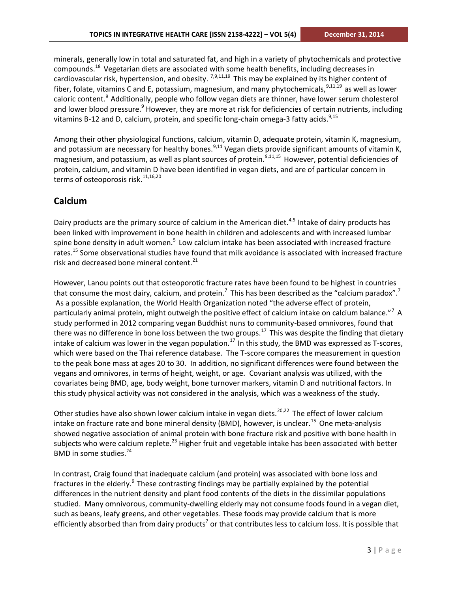minerals, generally low in total and saturated fat, and high in a variety of phytochemicals and protective compounds.<sup>18</sup> Vegetarian diets are associated with some health benefits, including decreases in cardiovascular risk, hypertension, and obesity. <sup>7,9,11,19</sup> This may be explained by its higher content of fiber, folate, vitamins C and E, potassium, magnesium, and many phytochemicals,  $9,11,19$  as well as lower caloric content.<sup>9</sup> Additionally, people who follow vegan diets are thinner, have lower serum cholesterol and lower blood pressure.<sup>9</sup> However, they are more at risk for deficiencies of certain nutrients, including vitamins B-12 and D, calcium, protein, and specific long-chain omega-3 fatty acids.<sup>9,15</sup>

Among their other physiological functions, calcium, vitamin D, adequate protein, vitamin K, magnesium, and potassium are necessary for healthy bones.<sup>9,11</sup> Vegan diets provide significant amounts of vitamin K, magnesium, and potassium, as well as plant sources of protein.<sup>9,11,15</sup> However, potential deficiencies of protein, calcium, and vitamin D have been identified in vegan diets, and are of particular concern in terms of osteoporosis risk. $11,16,20$ 

#### **Calcium**

Dairy products are the primary source of calcium in the American diet.<sup>4,5</sup> Intake of dairy products has been linked with improvement in bone health in children and adolescents and with increased lumbar spine bone density in adult women.<sup>5</sup> Low calcium intake has been associated with increased fracture rates.<sup>15</sup> Some observational studies have found that milk avoidance is associated with increased fracture risk and decreased bone mineral content.<sup>21</sup>

However, Lanou points out that osteoporotic fracture rates have been found to be highest in countries that consume the most dairy, calcium, and protein.<sup>7</sup> This has been described as the "calcium paradox".<sup>7</sup> As a possible explanation, the World Health Organization noted "the adverse effect of protein, particularly animal protein, might outweigh the positive effect of calcium intake on calcium balance."<sup>7</sup> A study performed in 2012 comparing vegan Buddhist nuns to community-based omnivores, found that there was no difference in bone loss between the two groups.<sup>17</sup> This was despite the finding that dietary intake of calcium was lower in the vegan population.<sup>17</sup> In this study, the BMD was expressed as T-scores, which were based on the Thai reference database. The T-score compares the measurement in question to the peak bone mass at ages 20 to 30. In addition, no significant differences were found between the vegans and omnivores, in terms of height, weight, or age. Covariant analysis was utilized, with the covariates being BMD, age, body weight, bone turnover markers, vitamin D and nutritional factors. In this study physical activity was not considered in the analysis, which was a weakness of the study.

Other studies have also shown lower calcium intake in vegan diets.<sup>20,22</sup> The effect of lower calcium intake on fracture rate and bone mineral density (BMD), however, is unclear.<sup>15</sup> One meta-analysis showed negative association of animal protein with bone fracture risk and positive with bone health in subjects who were calcium replete.<sup>23</sup> Higher fruit and vegetable intake has been associated with better BMD in some studies.<sup>24</sup>

In contrast, Craig found that inadequate calcium (and protein) was associated with bone loss and fractures in the elderly.<sup>9</sup> These contrasting findings may be partially explained by the potential differences in the nutrient density and plant food contents of the diets in the dissimilar populations studied. Many omnivorous, community-dwelling elderly may not consume foods found in a vegan diet, such as beans, leafy greens, and other vegetables. These foods may provide calcium that is more efficiently absorbed than from dairy products<sup>7</sup> or that contributes less to calcium loss. It is possible that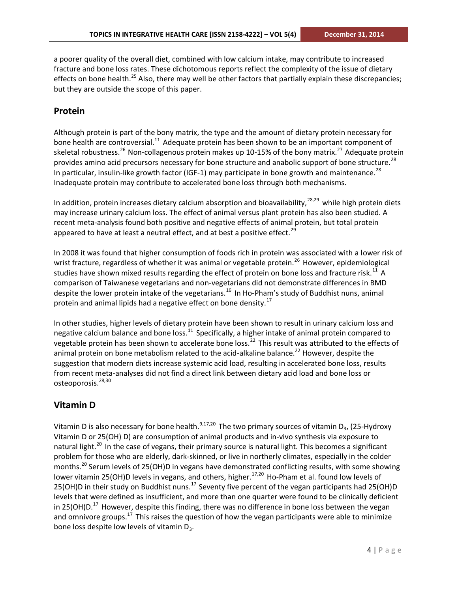a poorer quality of the overall diet, combined with low calcium intake, may contribute to increased fracture and bone loss rates. These dichotomous reports reflect the complexity of the issue of dietary effects on bone health.<sup>25</sup> Also, there may well be other factors that partially explain these discrepancies; but they are outside the scope of this paper.

#### **Protein**

Although protein is part of the bony matrix, the type and the amount of dietary protein necessary for bone health are controversial.<sup>11</sup> Adequate protein has been shown to be an important component of skeletal robustness.<sup>26</sup> Non-collagenous protein makes up 10-15% of the bony matrix.<sup>27</sup> Adequate protein provides amino acid precursors necessary for bone structure and anabolic support of bone structure.<sup>28</sup> In particular, insulin-like growth factor (IGF-1) may participate in bone growth and maintenance.<sup>28</sup> Inadequate protein may contribute to accelerated bone loss through both mechanisms.

In addition, protein increases dietary calcium absorption and bioavailability, $28,29$  while high protein diets may increase urinary calcium loss. The effect of animal versus plant protein has also been studied. A recent meta-analysis found both positive and negative effects of animal protein, but total protein appeared to have at least a neutral effect, and at best a positive effect.<sup>29</sup>

In 2008 it was found that higher consumption of foods rich in protein was associated with a lower risk of wrist fracture, regardless of whether it was animal or vegetable protein.<sup>26</sup> However, epidemiological studies have shown mixed results regarding the effect of protein on bone loss and fracture risk.<sup>11</sup> A comparison of Taiwanese vegetarians and non-vegetarians did not demonstrate differences in BMD despite the lower protein intake of the vegetarians.<sup>16</sup> In Ho-Pham's study of Buddhist nuns, animal protein and animal lipids had a negative effect on bone density.<sup>17</sup>

In other studies, higher levels of dietary protein have been shown to result in urinary calcium loss and negative calcium balance and bone loss.<sup>11</sup> Specifically, a higher intake of animal protein compared to vegetable protein has been shown to accelerate bone loss.<sup>22</sup> This result was attributed to the effects of animal protein on bone metabolism related to the acid-alkaline balance.<sup>22</sup> However, despite the suggestion that modern diets increase systemic acid load, resulting in accelerated bone loss, results from recent meta-analyses did not find a direct link between dietary acid load and bone loss or osteoporosis.<sup>28,30</sup>

#### **Vitamin D**

Vitamin D is also necessary for bone health.<sup>9,17,20</sup> The two primary sources of vitamin D<sub>3</sub>, (25-Hydroxy Vitamin D or 25(OH) D) are consumption of animal products and in-vivo synthesis via exposure to natural light.<sup>20</sup> In the case of vegans, their primary source is natural light. This becomes a significant problem for those who are elderly, dark-skinned, or live in northerly climates, especially in the colder months.<sup>20</sup> Serum levels of 25(OH)D in vegans have demonstrated conflicting results, with some showing lower vitamin 25(OH)D levels in vegans, and others, higher.<sup>17,20</sup> Ho-Pham et al. found low levels of 25(OH)D in their study on Buddhist nuns.<sup>17</sup> Seventy five percent of the vegan participants had 25(OH)D levels that were defined as insufficient, and more than one quarter were found to be clinically deficient in 25(OH)D.<sup>17</sup> However, despite this finding, there was no difference in bone loss between the vegan and omnivore groups.<sup>17</sup> This raises the question of how the vegan participants were able to minimize bone loss despite low levels of vitamin  $D_3$ .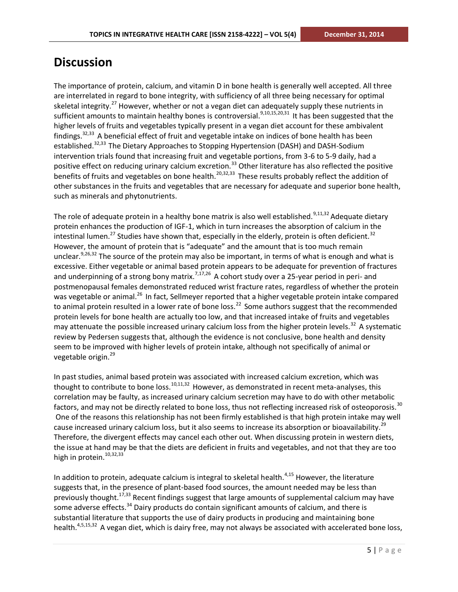## **Discussion**

The importance of protein, calcium, and vitamin D in bone health is generally well accepted. All three are interrelated in regard to bone integrity, with sufficiency of all three being necessary for optimal skeletal integrity.<sup>27</sup> However, whether or not a vegan diet can adequately supply these nutrients in sufficient amounts to maintain healthy bones is controversial.<sup>9,10,15,20,31</sup> It has been suggested that the higher levels of fruits and vegetables typically present in a vegan diet account for these ambivalent findings.32,33 A beneficial effect of fruit and vegetable intake on indices of bone health has been established.<sup>32,33</sup> The Dietary Approaches to Stopping Hypertension (DASH) and DASH-Sodium intervention trials found that increasing fruit and vegetable portions, from 3-6 to 5-9 daily, had a positive effect on reducing urinary calcium excretion.<sup>33</sup> Other literature has also reflected the positive benefits of fruits and vegetables on bone health.20,32,33 These results probably reflect the addition of other substances in the fruits and vegetables that are necessary for adequate and superior bone health, such as minerals and phytonutrients.

The role of adequate protein in a healthy bone matrix is also well established.<sup>9,11,32</sup> Adequate dietary protein enhances the production of IGF-1, which in turn increases the absorption of calcium in the intestinal lumen.<sup>27</sup> Studies have shown that, especially in the elderly, protein is often deficient.<sup>32</sup> However, the amount of protein that is "adequate" and the amount that is too much remain unclear.<sup>9,26,32</sup> The source of the protein may also be important, in terms of what is enough and what is excessive. Either vegetable or animal based protein appears to be adequate for prevention of fractures and underpinning of a strong bony matrix.<sup>7,17,26</sup> A cohort study over a 25-year period in peri- and postmenopausal females demonstrated reduced wrist fracture rates, regardless of whether the protein was vegetable or animal.<sup>26</sup> In fact, Sellmeyer reported that a higher vegetable protein intake compared to animal protein resulted in a lower rate of bone loss.<sup>22</sup> Some authors suggest that the recommended protein levels for bone health are actually too low, and that increased intake of fruits and vegetables may attenuate the possible increased urinary calcium loss from the higher protein levels.<sup>32</sup> A systematic review by Pedersen suggests that, although the evidence is not conclusive, bone health and density seem to be improved with higher levels of protein intake, although not specifically of animal or vegetable origin.<sup>29</sup>

In past studies, animal based protein was associated with increased calcium excretion, which was thought to contribute to bone loss.<sup>10,11,32</sup> However, as demonstrated in recent meta-analyses, this correlation may be faulty, as increased urinary calcium secretion may have to do with other metabolic factors, and may not be directly related to bone loss, thus not reflecting increased risk of osteoporosis.<sup>30</sup> One of the reasons this relationship has not been firmly established is that high protein intake may well cause increased urinary calcium loss, but it also seems to increase its absorption or bioavailability.<sup>29</sup> Therefore, the divergent effects may cancel each other out. When discussing protein in western diets, the issue at hand may be that the diets are deficient in fruits and vegetables, and not that they are too high in protein.<sup>10,32,33</sup>

In addition to protein, adequate calcium is integral to skeletal health. $4,15$  However, the literature suggests that, in the presence of plant-based food sources, the amount needed may be less than previously thought.<sup>17,33</sup> Recent findings suggest that large amounts of supplemental calcium may have some adverse effects.<sup>34</sup> Dairy products do contain significant amounts of calcium, and there is substantial literature that supports the use of dairy products in producing and maintaining bone health.<sup>4,5,15,32</sup> A vegan diet, which is dairy free, may not always be associated with accelerated bone loss,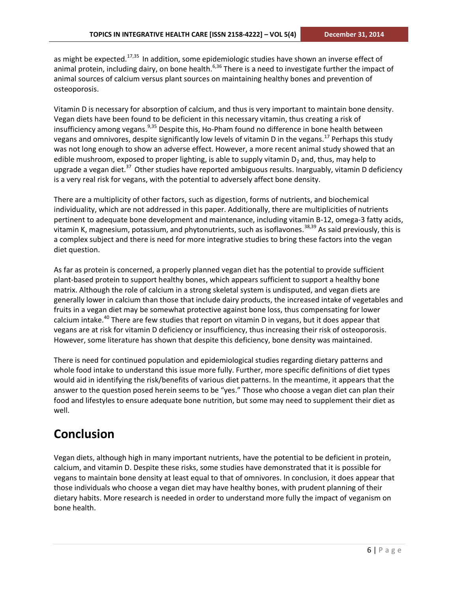as might be expected.<sup>17,35</sup> In addition, some epidemiologic studies have shown an inverse effect of animal protein, including dairy, on bone health.<sup>6,36</sup> There is a need to investigate further the impact of animal sources of calcium versus plant sources on maintaining healthy bones and prevention of osteoporosis.

Vitamin D is necessary for absorption of calcium, and thus is very important to maintain bone density. Vegan diets have been found to be deficient in this necessary vitamin, thus creating a risk of insufficiency among vegans.<sup>9,35</sup> Despite this, Ho-Pham found no difference in bone health between vegans and omnivores, despite significantly low levels of vitamin D in the vegans.<sup>17</sup> Perhaps this study was not long enough to show an adverse effect. However, a more recent animal study showed that an edible mushroom, exposed to proper lighting, is able to supply vitamin  $D_2$  and, thus, may help to upgrade a vegan diet.<sup>37</sup> Other studies have reported ambiguous results. Inarguably, vitamin D deficiency is a very real risk for vegans, with the potential to adversely affect bone density.

There are a multiplicity of other factors, such as digestion, forms of nutrients, and biochemical individuality, which are not addressed in this paper. Additionally, there are multiplicities of nutrients pertinent to adequate bone development and maintenance, including vitamin B-12, omega-3 fatty acids, vitamin K, magnesium, potassium, and phytonutrients, such as isoflavones.<sup>38,39</sup> As said previously, this is a complex subject and there is need for more integrative studies to bring these factors into the vegan diet question.

As far as protein is concerned, a properly planned vegan diet has the potential to provide sufficient plant-based protein to support healthy bones, which appears sufficient to support a healthy bone matrix. Although the role of calcium in a strong skeletal system is undisputed, and vegan diets are generally lower in calcium than those that include dairy products, the increased intake of vegetables and fruits in a vegan diet may be somewhat protective against bone loss, thus compensating for lower calcium intake.<sup>40</sup> There are few studies that report on vitamin D in vegans, but it does appear that vegans are at risk for vitamin D deficiency or insufficiency, thus increasing their risk of osteoporosis. However, some literature has shown that despite this deficiency, bone density was maintained.

There is need for continued population and epidemiological studies regarding dietary patterns and whole food intake to understand this issue more fully. Further, more specific definitions of diet types would aid in identifying the risk/benefits of various diet patterns. In the meantime, it appears that the answer to the question posed herein seems to be "yes." Those who choose a vegan diet can plan their food and lifestyles to ensure adequate bone nutrition, but some may need to supplement their diet as well.

### **Conclusion**

Vegan diets, although high in many important nutrients, have the potential to be deficient in protein, calcium, and vitamin D. Despite these risks, some studies have demonstrated that it is possible for vegans to maintain bone density at least equal to that of omnivores. In conclusion, it does appear that those individuals who choose a vegan diet may have healthy bones, with prudent planning of their dietary habits. More research is needed in order to understand more fully the impact of veganism on bone health.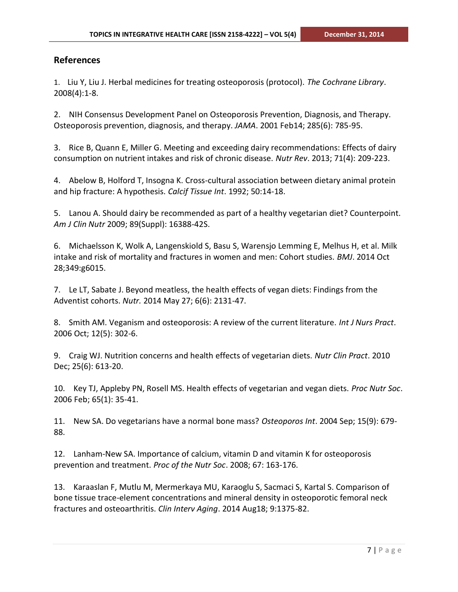#### **References**

1. Liu Y, Liu J. Herbal medicines for treating osteoporosis (protocol). *The Cochrane Library*. 2008(4):1-8.

2. NIH Consensus Development Panel on Osteoporosis Prevention, Diagnosis, and Therapy. Osteoporosis prevention, diagnosis, and therapy. *JAMA*. 2001 Feb14; 285(6): 785-95.

3. Rice B, Quann E, Miller G. Meeting and exceeding dairy recommendations: Effects of dairy consumption on nutrient intakes and risk of chronic disease. *Nutr Rev*. 2013; 71(4): 209-223.

4. Abelow B, Holford T, Insogna K. Cross-cultural association between dietary animal protein and hip fracture: A hypothesis. *Calcif Tissue Int*. 1992; 50:14-18.

5. Lanou A. Should dairy be recommended as part of a healthy vegetarian diet? Counterpoint. *Am J Clin Nutr* 2009; 89(Suppl): 16388-42S.

6. Michaelsson K, Wolk A, Langenskiold S, Basu S, Warensjo Lemming E, Melhus H, et al. Milk intake and risk of mortality and fractures in women and men: Cohort studies. *BMJ*. 2014 Oct 28;349:g6015.

7. Le LT, Sabate J. Beyond meatless, the health effects of vegan diets: Findings from the Adventist cohorts. *Nutr.* 2014 May 27; 6(6): 2131-47.

8. Smith AM. Veganism and osteoporosis: A review of the current literature. *Int J Nurs Pract*. 2006 Oct; 12(5): 302-6.

9. Craig WJ. Nutrition concerns and health effects of vegetarian diets. *Nutr Clin Pract*. 2010 Dec; 25(6): 613-20.

10. Key TJ, Appleby PN, Rosell MS. Health effects of vegetarian and vegan diets. *Proc Nutr Soc*. 2006 Feb; 65(1): 35-41.

11. New SA. Do vegetarians have a normal bone mass? *Osteoporos Int*. 2004 Sep; 15(9): 679- 88.

12. Lanham-New SA. Importance of calcium, vitamin D and vitamin K for osteoporosis prevention and treatment. *Proc of the Nutr Soc*. 2008; 67: 163-176.

13. Karaaslan F, Mutlu M, Mermerkaya MU, Karaoglu S, Sacmaci S, Kartal S. Comparison of bone tissue trace-element concentrations and mineral density in osteoporotic femoral neck fractures and osteoarthritis. *Clin Interv Aging*. 2014 Aug18; 9:1375-82.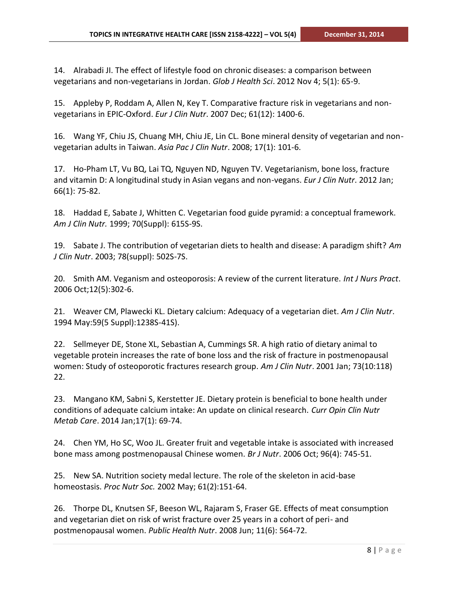14. Alrabadi JI. The effect of lifestyle food on chronic diseases: a comparison between vegetarians and non-vegetarians in Jordan. *Glob J Health Sci*. 2012 Nov 4; 5(1): 65-9.

15. Appleby P, Roddam A, Allen N, Key T. Comparative fracture risk in vegetarians and nonvegetarians in EPIC-Oxford. *Eur J Clin Nutr*. 2007 Dec; 61(12): 1400-6.

16. Wang YF, Chiu JS, Chuang MH, Chiu JE, Lin CL. Bone mineral density of vegetarian and nonvegetarian adults in Taiwan. *Asia Pac J Clin Nutr*. 2008; 17(1): 101-6.

17. Ho-Pham LT, Vu BQ, Lai TQ, Nguyen ND, Nguyen TV. Vegetarianism, bone loss, fracture and vitamin D: A longitudinal study in Asian vegans and non-vegans. *Eur J Clin Nutr*. 2012 Jan; 66(1): 75-82.

18. Haddad E, Sabate J, Whitten C. Vegetarian food guide pyramid: a conceptual framework. *Am J Clin Nutr.* 1999; 70(Suppl): 615S-9S.

19. Sabate J. The contribution of vegetarian diets to health and disease: A paradigm shift? *Am J Clin Nutr*. 2003; 78(suppl): 502S-7S.

20. Smith AM. Veganism and osteoporosis: A review of the current literature. *Int J Nurs Pract*. 2006 Oct;12(5):302-6.

21. Weaver CM, Plawecki KL. Dietary calcium: Adequacy of a vegetarian diet. *Am J Clin Nutr*. 1994 May:59(5 Suppl):1238S-41S).

22. Sellmeyer DE, Stone XL, Sebastian A, Cummings SR. A high ratio of dietary animal to vegetable protein increases the rate of bone loss and the risk of fracture in postmenopausal women: Study of osteoporotic fractures research group. *Am J Clin Nutr*. 2001 Jan; 73(10:118) 22.

23. Mangano KM, Sabni S, Kerstetter JE. Dietary protein is beneficial to bone health under conditions of adequate calcium intake: An update on clinical research. *Curr Opin Clin Nutr Metab Care*. 2014 Jan;17(1): 69-74.

24. Chen YM, Ho SC, Woo JL. Greater fruit and vegetable intake is associated with increased bone mass among postmenopausal Chinese women. *Br J Nutr*. 2006 Oct; 96(4): 745-51.

25. New SA. Nutrition society medal lecture. The role of the skeleton in acid-base homeostasis. *Proc Nutr Soc.* 2002 May; 61(2):151-64.

26. Thorpe DL, Knutsen SF, Beeson WL, Rajaram S, Fraser GE. Effects of meat consumption and vegetarian diet on risk of wrist fracture over 25 years in a cohort of peri- and postmenopausal women. *Public Health Nutr*. 2008 Jun; 11(6): 564-72.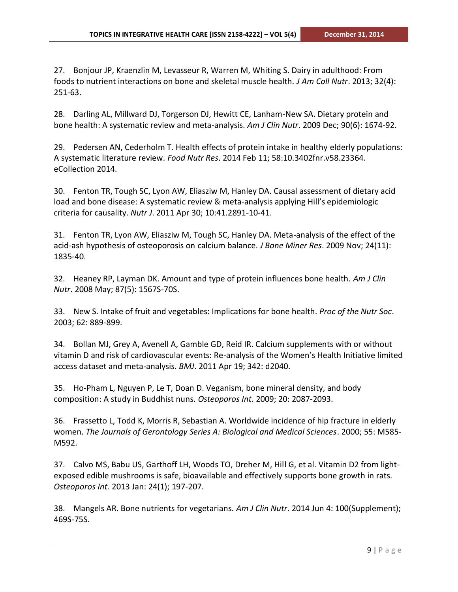27. Bonjour JP, Kraenzlin M, Levasseur R, Warren M, Whiting S. Dairy in adulthood: From foods to nutrient interactions on bone and skeletal muscle health. *J Am Coll Nutr*. 2013; 32(4): 251-63.

28. Darling AL, Millward DJ, Torgerson DJ, Hewitt CE, Lanham-New SA. Dietary protein and bone health: A systematic review and meta-analysis. *Am J Clin Nutr*. 2009 Dec; 90(6): 1674-92.

29. Pedersen AN, Cederholm T. Health effects of protein intake in healthy elderly populations: A systematic literature review. *Food Nutr Res*. 2014 Feb 11; 58:10.3402fnr.v58.23364. eCollection 2014.

30. Fenton TR, Tough SC, Lyon AW, Eliasziw M, Hanley DA. Causal assessment of dietary acid load and bone disease: A systematic review & meta-analysis applying Hill's epidemiologic criteria for causality. *Nutr J*. 2011 Apr 30; 10:41.2891-10-41.

31. Fenton TR, Lyon AW, Eliasziw M, Tough SC, Hanley DA. Meta-analysis of the effect of the acid-ash hypothesis of osteoporosis on calcium balance. *J Bone Miner Res*. 2009 Nov; 24(11): 1835-40.

32. Heaney RP, Layman DK. Amount and type of protein influences bone health. *Am J Clin Nutr*. 2008 May; 87(5): 1567S-70S.

33. New S. Intake of fruit and vegetables: Implications for bone health. *Proc of the Nutr Soc*. 2003; 62: 889-899.

34. Bollan MJ, Grey A, Avenell A, Gamble GD, Reid IR. Calcium supplements with or without vitamin D and risk of cardiovascular events: Re-analysis of the Women's Health Initiative limited access dataset and meta-analysis. *BMJ*. 2011 Apr 19; 342: d2040.

35. Ho-Pham L, Nguyen P, Le T, Doan D. Veganism, bone mineral density, and body composition: A study in Buddhist nuns. *Osteoporos Int*. 2009; 20: 2087-2093.

36. Frassetto L, Todd K, Morris R, Sebastian A. Worldwide incidence of hip fracture in elderly women. *The Journals of Gerontology Series A: Biological and Medical Sciences*. 2000; 55: M585- M592.

37. Calvo MS, Babu US, Garthoff LH, Woods TO, Dreher M, Hill G, et al. Vitamin D2 from lightexposed edible mushrooms is safe, bioavailable and effectively supports bone growth in rats. *Osteoporos Int.* 2013 Jan: 24(1); 197-207.

38. Mangels AR. Bone nutrients for vegetarians. *Am J Clin Nutr*. 2014 Jun 4: 100(Supplement); 469S-75S.